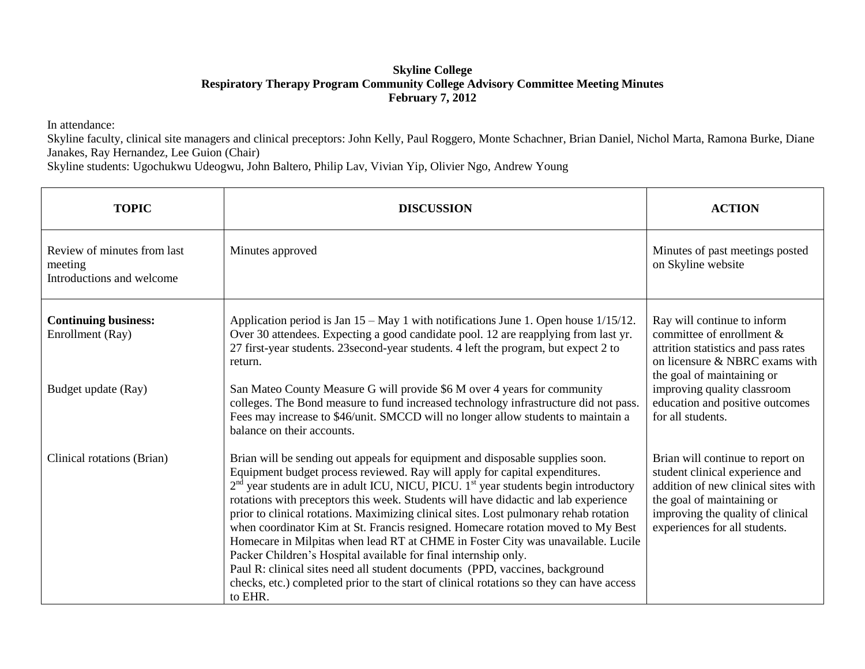## **Skyline College Respiratory Therapy Program Community College Advisory Committee Meeting Minutes February 7, 2012**

In attendance:

Skyline faculty, clinical site managers and clinical preceptors: John Kelly, Paul Roggero, Monte Schachner, Brian Daniel, Nichol Marta, Ramona Burke, Diane Janakes, Ray Hernandez, Lee Guion (Chair)

Skyline students: Ugochukwu Udeogwu, John Baltero, Philip Lav, Vivian Yip, Olivier Ngo, Andrew Young

| <b>TOPIC</b>                                                        | <b>DISCUSSION</b>                                                                                                                                                                                                                                                                                                                                                                                                                                                                                                                                                                                                                                                                                                                                                                                                                                                                    | <b>ACTION</b>                                                                                                                                                                                                  |
|---------------------------------------------------------------------|--------------------------------------------------------------------------------------------------------------------------------------------------------------------------------------------------------------------------------------------------------------------------------------------------------------------------------------------------------------------------------------------------------------------------------------------------------------------------------------------------------------------------------------------------------------------------------------------------------------------------------------------------------------------------------------------------------------------------------------------------------------------------------------------------------------------------------------------------------------------------------------|----------------------------------------------------------------------------------------------------------------------------------------------------------------------------------------------------------------|
| Review of minutes from last<br>meeting<br>Introductions and welcome | Minutes approved                                                                                                                                                                                                                                                                                                                                                                                                                                                                                                                                                                                                                                                                                                                                                                                                                                                                     | Minutes of past meetings posted<br>on Skyline website                                                                                                                                                          |
| <b>Continuing business:</b><br>Enrollment (Ray)                     | Application period is Jan 15 – May 1 with notifications June 1. Open house 1/15/12.<br>Over 30 attendees. Expecting a good candidate pool. 12 are reapplying from last yr.<br>27 first-year students. 23 second-year students. 4 left the program, but expect 2 to<br>return.                                                                                                                                                                                                                                                                                                                                                                                                                                                                                                                                                                                                        | Ray will continue to inform<br>committee of enrollment $\&$<br>attrition statistics and pass rates<br>on licensure & NBRC exams with<br>the goal of maintaining or                                             |
| Budget update (Ray)                                                 | San Mateo County Measure G will provide \$6 M over 4 years for community<br>colleges. The Bond measure to fund increased technology infrastructure did not pass.<br>Fees may increase to \$46/unit. SMCCD will no longer allow students to maintain a<br>balance on their accounts.                                                                                                                                                                                                                                                                                                                                                                                                                                                                                                                                                                                                  | improving quality classroom<br>education and positive outcomes<br>for all students.                                                                                                                            |
| Clinical rotations (Brian)                                          | Brian will be sending out appeals for equipment and disposable supplies soon.<br>Equipment budget process reviewed. Ray will apply for capital expenditures.<br>$2nd$ year students are in adult ICU, NICU, PICU. 1 <sup>st</sup> year students begin introductory<br>rotations with preceptors this week. Students will have didactic and lab experience<br>prior to clinical rotations. Maximizing clinical sites. Lost pulmonary rehab rotation<br>when coordinator Kim at St. Francis resigned. Homecare rotation moved to My Best<br>Homecare in Milpitas when lead RT at CHME in Foster City was unavailable. Lucile<br>Packer Children's Hospital available for final internship only.<br>Paul R: clinical sites need all student documents (PPD, vaccines, background<br>checks, etc.) completed prior to the start of clinical rotations so they can have access<br>to EHR. | Brian will continue to report on<br>student clinical experience and<br>addition of new clinical sites with<br>the goal of maintaining or<br>improving the quality of clinical<br>experiences for all students. |